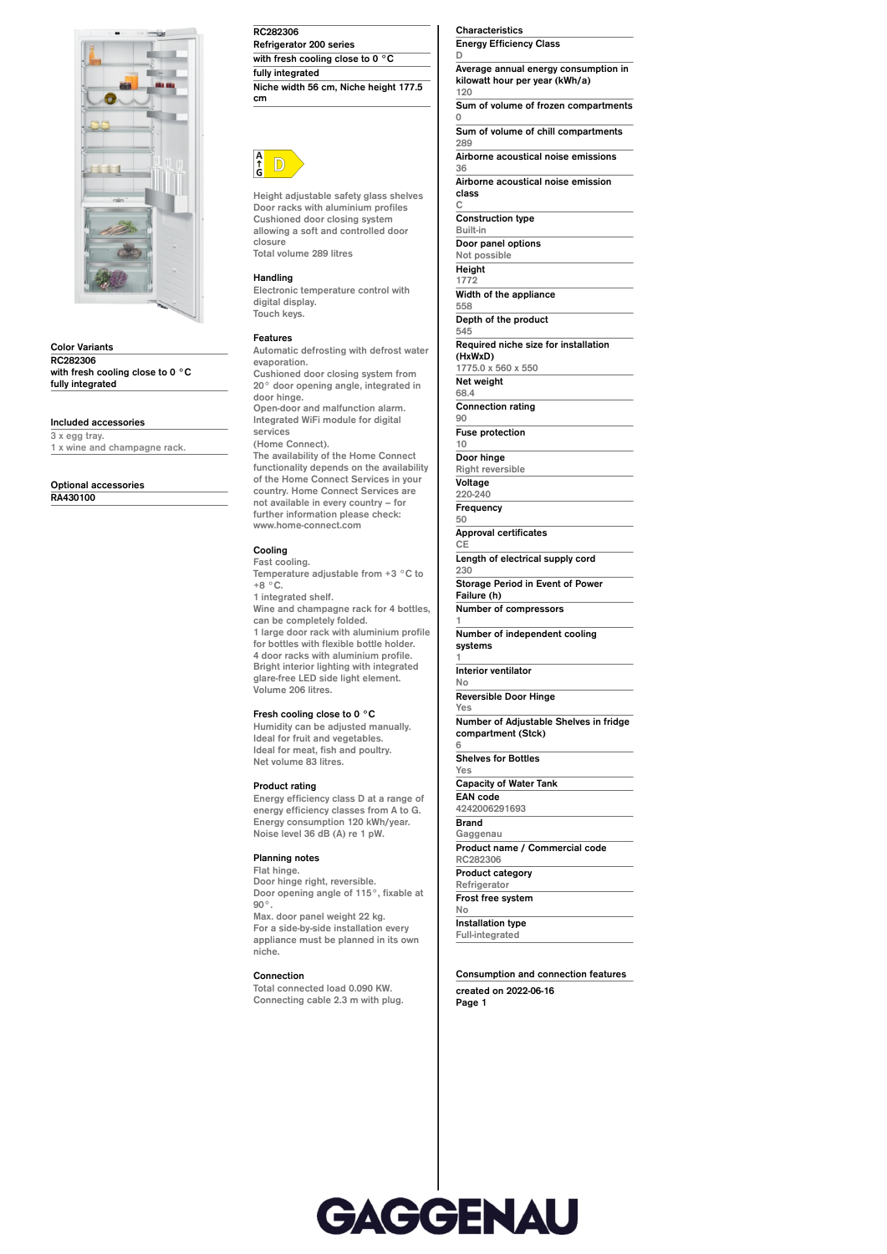

**Color Variants RC282306 with fresh cooling close to 0 °C fully integrated**

## **Included accessories**

**3 x egg tray. 1 x wine and champagne rack.**

**Optional accessories**

**RA430100**

**RC282306 Refrigerator 200 series with fresh cooling close to 0 °C fully integrated Niche width 56 cm, Niche height 177.5**



**cm**

**Height adjustable safety glass shelves Door racks with aluminium profiles Cushioned door closing system allowing a soft and controlled door closure Total volume 289 litres**

#### **Handling**

**Electronic temperature control with digital display. Touch keys.**

#### **Features**

**Automatic defrosting with defrost water evaporation. Cushioned door closing system from 20° door opening angle, integrated in door hinge. Open-door and malfunction alarm. Integrated WiFi module for digital services (Home Connect). The availability of the Home Connect functionality depends on the availability of the Home Connect Services in your**

**country. Home Connect Services are not available in every country – for further information please check: www.home-connect.com**

# **Cooling**

**Fast cooling. Temperature adjustable from +3 °C to +8 °C. 1 integrated shelf. Wine and champagne rack for 4 bottles,**

**can be completely folded. 1 large door rack with aluminium profile for bottles with flexible bottle holder. 4 door racks with aluminium profile. Bright interior lighting with integrated glare-free LED side light element. Volume 206 litres.**

### **Fresh cooling close to 0 °C**

**Humidity can be adjusted manually. Ideal for fruit and vegetables. Ideal for meat, fish and poultry. Net volume 83 litres.**

### **Product rating**

**Energy efficiency class D at a range of energy efficiency classes from A to G. Energy consumption 120 kWh/year. Noise level 36 dB (A) re 1 pW.**

## **Planning notes**

**Flat hinge. Door hinge right, reversible. Door opening angle of 115°, fixable at 90°. Max. door panel weight 22 kg. For a side-by-side installation every appliance must be planned in its own niche.**

#### **Connection**

**Total connected load 0.090 KW. Connecting cable 2.3 m with plug.** **Characteristics Energy Efficiency Class**

**D Average annual energy consumption in kilowatt hour per year (kWh/a) 120**

**Sum of volume of frozen compartments 0**

**Sum of volume of chill compartments 289**

**Airborne acoustical noise emissions 36**

**Airborne acoustical noise emission class**

**C Construction type**

**Built-in Door panel options Not possible Height 1772 Width of the appliance 558**

**Depth of the product 545**

**Required niche size for installation (HxWxD)**

**1775.0 x 560 x 550 Net weight**

**68.4 Connection rating**

**90 Fuse protection**

**10**

**Door hinge Right reversible Voltage**

**220-240 Frequency 50**

**Approval certificates CE**

**Length of electrical supply cord 230**

**Storage Period in Event of Power Failure (h) Number of compressors**

**1**

**Number of independent cooling systems**

**1 Interior ventilator**

**No Reversible Door Hinge Yes**

**Number of Adjustable Shelves in fridge compartment (Stck) 6**

**Shelves for Bottles Yes**

**Capacity of Water Tank EAN code 4242006291693**

**Brand Gaggenau Product name / Commercial code**

**RC282306 Product category**

**Refrigerator Frost free system**

**No Installation type**

**Full-integrated**

**Consumption and connection features created on 2022-06-16 Page 1**